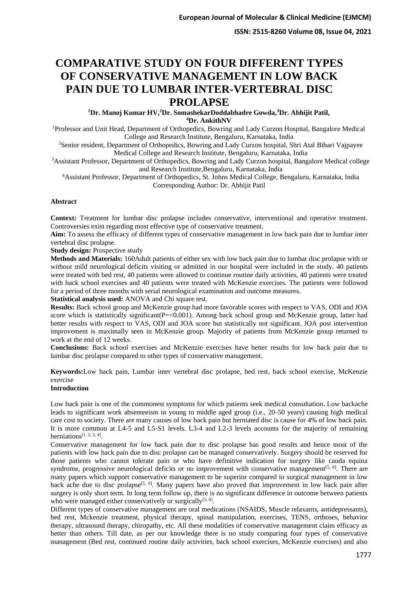**ISSN: 2515-8260 Volume 08, Issue 04, 2021**

# **COMPARATIVE STUDY ON FOUR DIFFERENT TYPES OF CONSERVATIVE MANAGEMENT IN LOW BACK PAIN DUE TO LUMBAR INTER-VERTEBRAL DISC PROLAPSE**

**<sup>1</sup>Dr. Manoj Kumar HV,<sup>2</sup>Dr. SomashekarDoddabhadre Gowda,<sup>3</sup>Dr. Abhijit Patil, <sup>4</sup>Dr. AnkithNV**

<sup>1</sup>Professor and Unit Head, Department of Orthopedics, Bowring and Lady Curzon Hospital, Bangalore Medical College and Research Institute, Bengaluru, Karnataka, India

<sup>2</sup>Senior resident, Department of Orthopedics, Bowring and Lady Curzon hospital, Shri Atal Bihari Vajpayee Medical College and Research Institute, Bengaluru, Karnataka, India

<sup>3</sup>Assistant Professor, Department of Orthopedics, Bowring and Lady Curzon hospital, Bangalore Medical college and Research Institute,Bengaluru, Karnataka, India

<sup>4</sup>Assistant Professor, Department of Orthopedics, St. Johns Medical College, Bengaluru, Karnataka, India Corresponding Author: Dr. Abhijit Patil

## **Abstract**

**Context:** Treatment for lumbar disc prolapse includes conservative, interventional and operative treatment. Controversies exist regarding most effective type of conservative treatment.

**Aim:** To assess the efficacy of different types of conservative management in low back pain due to lumbar inter vertebral disc prolapse.

**Study design:** Prospective study

**Methods and Materials:** 160Adult patients of either sex with low back pain due to lumbar disc prolapse with or without mild neurological deficits visiting or admitted in our hospital were included in the study. 40 patients were treated with bed rest, 40 patients were allowed to continue routine daily activities, 40 patients were treated with back school exercises and 40 patients were treated with McKenzie exercises. The patients were followed for a period of three months with serial neurological examination and outcome measures.

**Statistical analysis used:** ANOVA and Chi square test.

**Results:** Back school group and McKenzie group had more favorable scores with respect to VAS, ODI and JOA score which is statistically significant( $P = < 0.001$ ). Among back school group and McKenzie group, latter had better results with respect to VAS, ODI and JOA score but statistically not significant. JOA post intervention improvement is maximally seen in McKenzie group. Majority of patients from McKenzie group returned to work at the end of 12 weeks.

**Conclusions:** Back school exercises and McKenzie exercises have better results for low back pain due to lumbar disc prolapse compared to other types of conservative management.

**Keywords:**Low back pain, Lumbar inter vertebral disc prolapse, bed rest, back school exercise, McKenzie exercise

## **Introduction**

Low back pain is one of the commonest symptoms for which patients seek medical consultation. Low backache leads to significant work absenteeism in young to middle aged group (i.e., 20-50 years) causing high medical care cost to society. There are many causes of low back pain but herniated disc is cause for 4% of low back pain. It is more common at L4-5 and L5-S1 levels. L3-4 and L2-3 levels accounts for the majority of remaining herniations<sup>[1, 2, 3, 4]</sup>.

Conservative management for low back pain due to disc prolapse has good results and hence most of the patients with low back pain due to disc prolapse can be managed conservatively. Surgery should be reserved for those patients who cannot tolerate pain or who have definitive indication for surgery like cauda equina syndrome, progressive neurological deficits or no improvement with conservative management<sup>[5, 6]</sup>. There are many papers which support conservative management to be superior compared to surgical management in low back ache due to disc prolapse<sup>[5, 6]</sup>. Many papers have also proved that improvement in low back pain after surgery is only short term. In long term follow up, there is no significant difference in outcome between patients who were managed either conservatively or surgically<sup>[5, 6]</sup>.

Different types of conservative management are oral medications (NSAIDS, Muscle relaxants, antidepressants), bed rest, Mckenzie treatment, physical therapy, spinal manipulation, exercises, TENS, orthoses, behavior therapy, ultrasound therapy, chiropathy, etc. All these modalities of conservative management claim efficacy as better than others. Till date, as per our knowledge there is no study comparing four types of conservative management (Bed rest, continued routine daily activities, back school exercises, McKenzie exercises) and also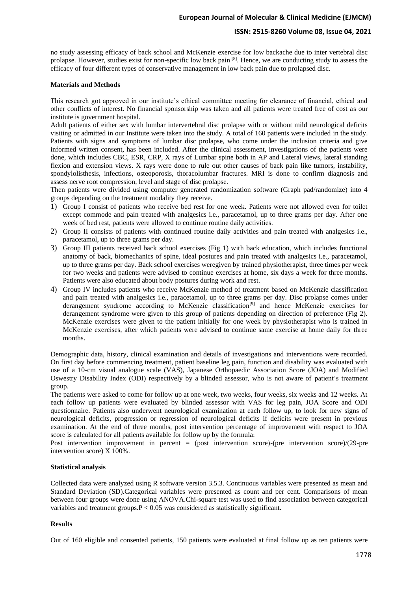## **ISSN: 2515-8260 Volume 08, Issue 04, 2021**

no study assessing efficacy of back school and McKenzie exercise for low backache due to inter vertebral disc prolapse. However, studies exist for non-specific low back pain [8]. Hence, we are conducting study to assess the efficacy of four different types of conservative management in low back pain due to prolapsed disc.

### **Materials and Methods**

This research got approved in our institute's ethical committee meeting for clearance of financial, ethical and other conflicts of interest. No financial sponsorship was taken and all patients were treated free of cost as our institute is government hospital.

Adult patients of either sex with lumbar intervertebral disc prolapse with or without mild neurological deficits visiting or admitted in our Institute were taken into the study. A total of 160 patients were included in the study. Patients with signs and symptoms of lumbar disc prolapse, who come under the inclusion criteria and give informed written consent, has been included. After the clinical assessment, investigations of the patients were done, which includes CBC, ESR, CRP, X rays of Lumbar spine both in AP and Lateral views, lateral standing flexion and extension views. X rays were done to rule out other causes of back pain like tumors, instability, spondylolisthesis, infections, osteoporosis, thoracolumbar fractures. MRI is done to confirm diagnosis and assess nerve root compression, level and stage of disc prolapse.

Then patients were divided using computer generated randomization software (Graph pad/randomize) into 4 groups depending on the treatment modality they receive.

- 1) Group I consist of patients who receive bed rest for one week. Patients were not allowed even for toilet except commode and pain treated with analgesics i.e., paracetamol, up to three grams per day. After one week of bed rest, patients were allowed to continue routine daily activities.
- 2) Group II consists of patients with continued routine daily activities and pain treated with analgesics i.e., paracetamol, up to three grams per day.
- 3) Group III patients received back school exercises (Fig 1) with back education, which includes functional anatomy of back, biomechanics of spine, ideal postures and pain treated with analgesics i.e., paracetamol, up to three grams per day. Back school exercises weregiven by trained physiotherapist, three times per week for two weeks and patients were advised to continue exercises at home, six days a week for three months. Patients were also educated about body postures during work and rest.
- 4) Group IV includes patients who receive McKenzie method of treatment based on McKenzie classification and pain treated with analgesics i.e., paracetamol, up to three grams per day. Disc prolapse comes under derangement syndrome according to McKenzie classification<sup>[9]</sup> and hence McKenzie exercises for derangement syndrome were given to this group of patients depending on direction of preference (Fig 2). McKenzie exercises were given to the patient initially for one week by physiotherapist who is trained in McKenzie exercises, after which patients were advised to continue same exercise at home daily for three months.

Demographic data, history, clinical examination and details of investigations and interventions were recorded. On first day before commencing treatment, patient baseline leg pain, function and disability was evaluated with use of a 10-cm visual analogue scale (VAS), Japanese Orthopaedic Association Score (JOA) and Modified Oswestry Disability Index (ODI) respectively by a blinded assessor, who is not aware of patient's treatment group.

The patients were asked to come for follow up at one week, two weeks, four weeks, six weeks and 12 weeks. At each follow up patients were evaluated by blinded assessor with VAS for leg pain, JOA Score and ODI questionnaire. Patients also underwent neurological examination at each follow up, to look for new signs of neurological deficits, progression or regression of neurological deficits if deficits were present in previous examination. At the end of three months, post intervention percentage of improvement with respect to JOA score is calculated for all patients available for follow up by the formula:

Post intervention improvement in percent = (post intervention score)-(pre intervention score)/(29-pre intervention score) X 100%.

### **Statistical analysis**

Collected data were analyzed using R software version 3.5.3. Continuous variables were presented as mean and Standard Deviation (SD).Categorical variables were presented as count and per cent. Comparisons of mean between four groups were done using ANOVA.Chi-square test was used to find association between categorical variables and treatment groups.P < 0.05 was considered as statistically significant.

### **Results**

Out of 160 eligible and consented patients, 150 patients were evaluated at final follow up as ten patients were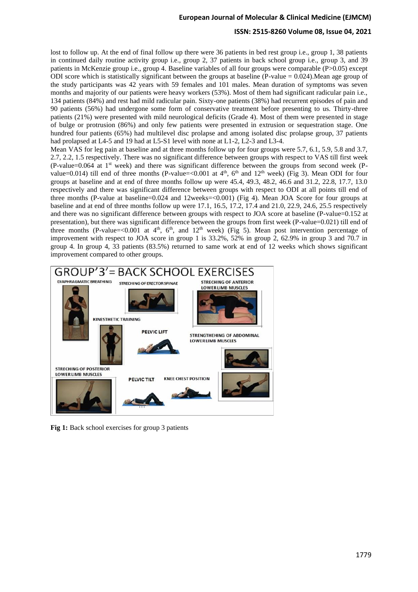## **ISSN: 2515-8260 Volume 08, Issue 04, 2021**

lost to follow up. At the end of final follow up there were 36 patients in bed rest group i.e., group 1, 38 patients in continued daily routine activity group i.e., group 2, 37 patients in back school group i.e., group 3, and 39 patients in McKenzie group i.e., group 4. Baseline variables of all four groups were comparable (P>0.05) except ODI score which is statistically significant between the groups at baseline (P-value = 0.024).Mean age group of the study participants was 42 years with 59 females and 101 males. Mean duration of symptoms was seven months and majority of our patients were heavy workers (53%). Most of them had significant radicular pain i.e., 134 patients (84%) and rest had mild radicular pain. Sixty-one patients (38%) had recurrent episodes of pain and 90 patients (56%) had undergone some form of conservative treatment before presenting to us. Thirty-three patients (21%) were presented with mild neurological deficits (Grade 4). Most of them were presented in stage of bulge or protrusion (86%) and only few patients were presented in extrusion or sequestration stage. One hundred four patients (65%) had multilevel disc prolapse and among isolated disc prolapse group, 37 patients had prolapsed at L4-5 and 19 had at L5-S1 level with none at L1-2, L2-3 and L3-4.

Mean VAS for leg pain at baseline and at three months follow up for four groups were 5.7, 6.1, 5.9, 5.8 and 3.7, 2.7, 2.2, 1.5 respectively. There was no significant difference between groups with respect to VAS till first week (P-value=0.064 at  $1<sup>st</sup>$  week) and there was significant difference between the groups from second week (Pvalue=0.014) till end of three months (P-value=<0.001 at  $4<sup>th</sup>$ ,  $6<sup>th</sup>$  and  $12<sup>th</sup>$  week) (Fig 3). Mean ODI for four groups at baseline and at end of three months follow up were 45.4, 49.3, 48.2, 46.6 and 31.2, 22.8, 17.7, 13.0 respectively and there was significant difference between groups with respect to ODI at all points till end of three months (P-value at baseline=0.024 and 12weeks=<0.001) (Fig 4). Mean JOA Score for four groups at baseline and at end of three months follow up were 17.1, 16.5, 17.2, 17.4 and 21.0, 22.9, 24.6, 25.5 respectively and there was no significant difference between groups with respect to JOA score at baseline (P-value=0.152 at presentation), but there was significant difference between the groups from first week (P-value=0.021) till end of three months (P-value=<0.001 at  $4<sup>th</sup>$ ,  $6<sup>th</sup>$ , and  $12<sup>th</sup>$  week) (Fig 5). Mean post intervention percentage of improvement with respect to JOA score in group 1 is 33.2%, 52% in group 2, 62.9% in group 3 and 70.7 in group 4. In group 4, 33 patients (83.5%) returned to same work at end of 12 weeks which shows significant improvement compared to other groups.



**Fig 1:** Back school exercises for group 3 patients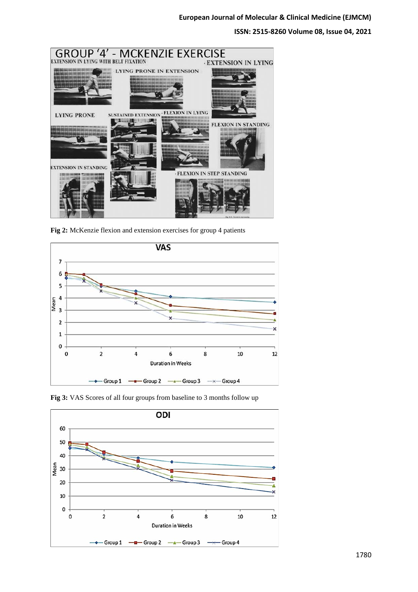**ISSN: 2515-8260 Volume 08, Issue 04, 2021**



**Fig 2:** McKenzie flexion and extension exercises for group 4 patients



**Fig 3:** VAS Scores of all four groups from baseline to 3 months follow up

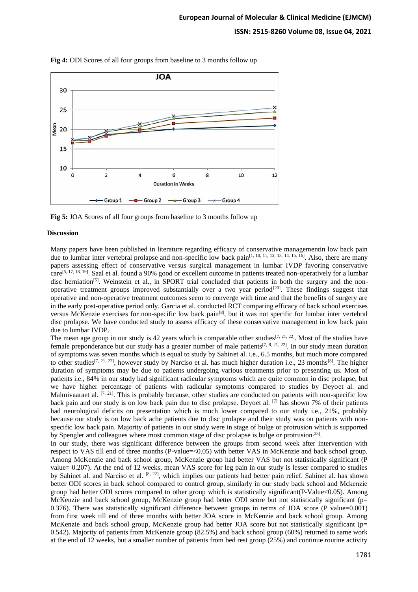## **ISSN: 2515-8260 Volume 08, Issue 04, 2021**



**Fig 4:** ODI Scores of all four groups from baseline to 3 months follow up

**Fig 5:** JOA Scores of all four groups from baseline to 3 months follow up

#### **Discussion**

Many papers have been published in literature regarding efficacy of conservative managementin low back pain due to lumbar inter vertebral prolapse and non-specific low back pain<sup>[1, 10, 11, 12, 13, 14, 15, 16]</sup>. Also, there are many papers assessing effect of conservative versus surgical management in lumbar IVDP favoring conservative care<sup>[5, 17, 18, 19]</sup>. Saal et al. found a 90% good or excellent outcome in patients treated non-operatively for a lumbar disc herniation<sup>[5]</sup>. Weinstein et al., in SPORT trial concluded that patients in both the surgery and the nonoperative treatment groups improved substantially over a two year period<sup>[20]</sup>. These findings suggest that operative and non-operative treatment outcomes seem to converge with time and that the benefits of surgery are in the early post-operative period only. Garcia et al. conducted RCT comparing efficacy of back school exercises versus McKenzie exercises for non-specific low back pain<sup>[8]</sup>, but it was not specific for lumbar inter vertebral disc prolapse. We have conducted study to assess efficacy of these conservative management in low back pain due to lumbar IVDP.

The mean age group in our study is 42 years which is comparable other studies<sup>[7, 21, 22]</sup>. Most of the studies have female preponderance but our study has a greater number of male patients<sup>[7, 8, 21, 22]</sup>. In our study mean duration of symptoms was seven months which is equal to study by Sahinet al. i.e., 6.5 months, but much more compared to other studies<sup>[7, 21, 22]</sup>, however study by Narciso et al. has much higher duration i.e., 23 months<sup>[8]</sup>. The higher duration of symptoms may be due to patients undergoing various treatments prior to presenting us. Most of patients i.e., 84% in our study had significant radicular symptoms which are quite common in disc prolapse, but we have higher percentage of patients with radicular symptoms compared to studies by Deyoet al. and Malmivaaraet al.  $[7, 21]$ . This is probably because, other studies are conducted on patients with non-specific low back pain and our study is on low back pain due to disc prolapse. Deyoet al. [7] has shown 7% of their patients had neurological deficits on presentation which is much lower compared to our study i.e., 21%, probably because our study is on low back ache patients due to disc prolapse and their study was on patients with nonspecific low back pain. Majority of patients in our study were in stage of bulge or protrusion which is supported by Spengler and colleagues where most common stage of disc prolapse is bulge or protrusion<sup>[23]</sup>.

In our study, there was significant difference between the groups from second week after intervention with respect to VAS till end of three months (P-value=<0.05) with better VAS in McKenzie and back school group. Among McKenzie and back school group, McKenzie group had better VAS but not statistically significant (P value= 0.207). At the end of 12 weeks, mean VAS score for leg pain in our study is lesser compared to studies by Sahinet al. and Narciso et al. <sup>[8, 22]</sup>, which implies our patients had better pain relief. Sahinet al. has shown better ODI scores in back school compared to control group, similarly in our study back school and Mckenzie group had better ODI scores compared to other group which is statistically significant(P-Value<0.05). Among McKenzie and back school group, McKenzie group had better ODI score but not statistically significant (p= 0.376). There was statistically significant difference between groups in terms of JOA score (P value=0.001) from first week till end of three months with better JOA score in McKenzie and back school group. Among McKenzie and back school group, McKenzie group had better JOA score but not statistically significant (p= 0.542). Majority of patients from McKenzie group (82.5%) and back school group (60%) returned to same work at the end of 12 weeks, but a smaller number of patients from bed rest group (25%) and continue routine activity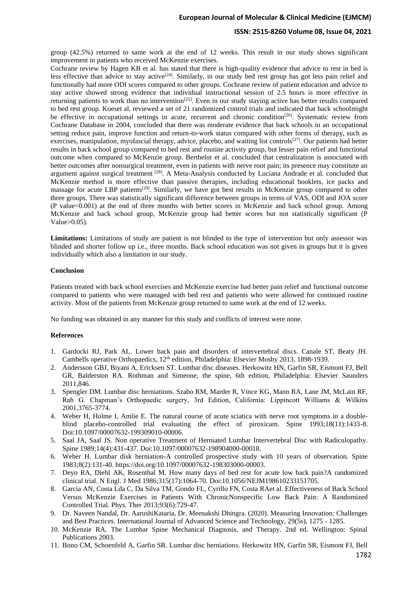## **ISSN: 2515-8260 Volume 08, Issue 04, 2021**

group (42.5%) returned to same work at the end of 12 weeks. This result in our study shows significant improvement in patients who received McKenzie exercises.

Cochrane review by Hagen KB et al. has stated that there is high-quality evidence that advice to rest in bed is less effective than advice to stay active<sup>[24]</sup>. Similarly, in our study bed rest group has got less pain relief and functionally had more ODI scores compared to other groups. Cochrane review of patient education and advice to stay active showed strong evidence that individual instructional session of 2.5 hours is more effective in returning patients to work than no intervention<sup>[25]</sup>. Even in our study staying active has better results compared to bed rest group. Koeset al. reviewed a set of 21 randomized control trials and indicated that back schoolmight be effective in occupational settings in acute, recurrent and chronic condition<sup>[26]</sup>. Systematic review from Cochrane Database in 2004, concluded that there was moderate evidence that back schools in an occupational setting reduce pain, improve function and return-to-work status compared with other forms of therapy, such as exercises, manipulation, myofascial therapy, advice, placebo, and waiting list controls<sup>[27]</sup>. Our patients had better results in back school group compared to bed rest and routine activity group, but lesser pain relief and functional outcome when compared to McKenzie group. Berthelot et al. concluded that centralization is associated with better outcomes after nonsurgical treatment, even in patients with nerve root pain; its presence may constitute an argument against surgical treatment <sup>[28]</sup>. A Meta-Analysis conducted by Luciana Andrade et al. concluded that McKenzie method is more effective than passive therapies, including educational booklets, ice packs and massage for acute LBP patients<sup>[29]</sup>. Similarly, we have got best results in McKenzie group compared to other three groups. There was statistically significant difference between groups in terms of VAS, ODI and JOA score (P value=0.001) at the end of three months with better scores in McKenzie and back school group. Among McKenzie and back school group, McKenzie group had better scores but not statistically significant (P Value $>0.05$ ).

**Limitations:** Limitations of study are patient is not blinded to the type of intervention but only assessor was blinded and shorter follow up i.e., three months. Back school education was not given in groups but it is given individually which also a limitation in our study.

### **Conclusion**

Patients treated with back school exercises and McKenzie exercise had better pain relief and functional outcome compared to patients who were managed with bed rest and patients who were allowed for continued routine activity. Most of the patients from McKenzie group returned to same work at the end of 12 weeks.

No funding was obtained in any manner for this study and conflicts of interest were none.

### **References**

- 1. Gardocki RJ, Park AL. Lower back pain and disorders of intervertebral discs. Canale ST, Beaty JH. Cambells operative Orthopaedics, 12<sup>th</sup> edition, Philadelphia: Elsevier Mosby 2013, 1898-1939.
- 2. Andersson GBJ, Biyani A, Ericksen ST. Lumbar disc diseases. Herkowitz HN, Garfin SR, Eismont FJ, Bell GR, Balderston RA. Rothman and Simeone, the spine, 6th edition, Philadelphia: Elsevier Saunders 2011,846.
- 3. Spengler DM. Lumbar disc herniations. Szabo RM, Marder R, Vince KG, Mann RA, Lane JM, McLain RF, Rab G. Chapman's Orthopaedic surgery, 3rd Edition, California: Lippincott Williams & Wilkins 2001,3765-3774.
- 4. Weber H, Holme I, Amlie E. The natural course of acute sciatica with nerve root symptoms in a doubleblind placebo-controlled trial evaluating the effect of piroxicam. Spine 1993;18(11):1433-8. Doi:10.1097/00007632-199309010-00006.
- 5. Saal JA, Saal JS. Non operative Treatment of Herniated Lumbar Intervertebral Disc with Radiculopathy. Spine 1989;14(4):431-437. Doi:10.1097/00007632-198904000-00018.
- 6. Weber H. Lumbar disk herniation-A controlled prospective study with 10 years of observation. Spine 1983;8(2):131-40. https://doi.org/10.1097/00007632-198303000-00003.
- 7. Deyo RA, Diehl AK, Rosenthal M. How many days of bed rest for acute low back pain?A randomized clinical trial. N Engl. J Med 1986;315(17):1064-70. Doi:10.1056/NEJM198610233151705.
- 8. Garcia AN, Costa Lda C, Da Silva TM, Gondo FL, Cyrillo FN, Costa RAet al. Effectiveness of Back School Versus McKenzie Exercises in Patients With ChronicNonspecific Low Back Pain: A Randomized Controlled Trial. Phys. Ther 2013;93(6):729-47.
- 9. Dr. Naveen Nandal, Dr. AarushiKataria, Dr. Meenakshi Dhingra. (2020). Measuring Innovation: Challenges and Best Practices. International Journal of Advanced Science and Technology, 29(5s), 1275 - 1285.
- 10. McKenzie RA. The Lumbar Spine Mechanical Diagnosis, and Therapy. 2nd ed. Wellington: Spinal Publications 2003.
- 11. Bono CM, Schoenfeld A, Garfin SR. Lumbar disc herniations. Herkowitz HN, Garfin SR, Eismont FJ, Bell